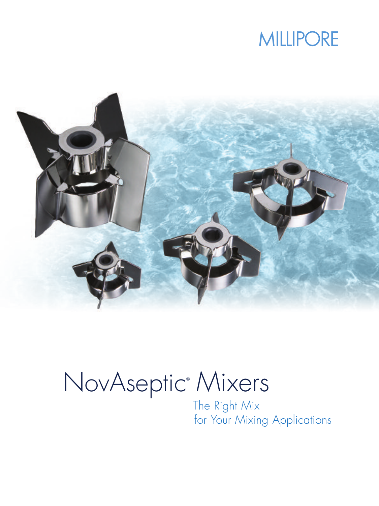## **MILLIPORE**



# NovAseptic® Mixers

The Right Mix for Your Mixing Applications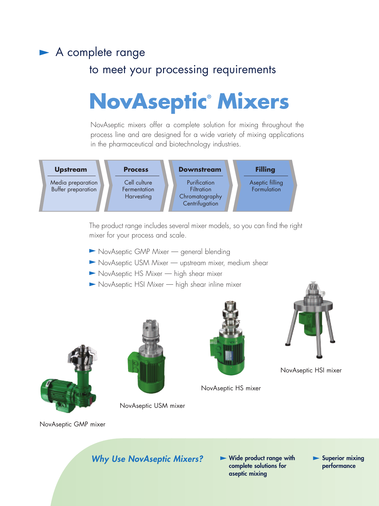### A complete range

### to meet your processing requirements

# **NovAseptic® Mixers**

NovAseptic mixers offer a complete solution for mixing throughout the process line and are designed for a wide variety of mixing applications in the pharmaceutical and biotechnology industries.



The product range includes several mixer models, so you can find the right mixer for your process and scale.

- NovAseptic GMP Mixer general blending
- NovAseptic USM Mixer upstream mixer, medium shear
- NovAseptic HS Mixer high shear mixer
- NovAseptic HSI Mixer high shear inline mixer







NovAseptic HS mixer



NovAseptic HSI mixer

NovAseptic GMP mixer

**Why Use NovAseptic Mixers?**  $\blacktriangleright$  Wide product range with

NovAseptic USM mixer

**complete solutions for aseptic mixing**

**Superior mixing performance**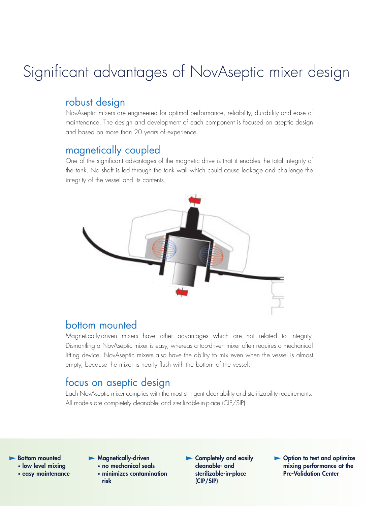### Significant advantages of NovAseptic mixer design

### robust design

NovAseptic mixers are engineered for optimal performance, reliability, durability and ease of maintenance. The design and development of each component is focused on aseptic design and based on more than 20 years of experience.

### magnetically coupled

One of the significant advantages of the magnetic drive is that it enables the total integrity of the tank. No shaft is led through the tank wall which could cause leakage and challenge the integrity of the vessel and its contents.



#### bottom mounted

Magnetically-driven mixers have other advantages which are not related to integrity. Dismantling a NovAseptic mixer is easy, whereas a top-driven mixer often requires a mechanical lifting device. NovAseptic mixers also have the ability to mix even when the vessel is almost empty, because the mixer is nearly flush with the bottom of the vessel.

### focus on aseptic design

Each NovAseptic mixer complies with the most stringent cleanability and sterilizability requirements. All models are completely cleanable- and sterilizable-in-place (CIP/SIP).

**Bottom mounted • low level mixing**

**• easy maintenance**

**Magnetically-driven**

- **• no mechanical seals**
- **• minimizes contamination risk**
- **Completely and easily cleanable- and sterilizable-in-place (CIP/SIP)**
- **Option to test and optimize mixing performance at the Pre-Validation Center**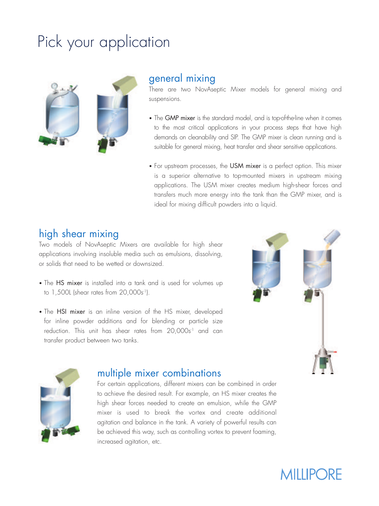## Pick your application



#### general mixing

There are two NovAseptic Mixer models for general mixing and suspensions.

- The GMP mixer is the standard model, and is top-of-the-line when it comes to the most critical applications in your process steps that have high demands on cleanability and SIP. The GMP mixer is clean running and is suitable for general mixing, heat transfer and shear sensitive applications.
- For upstream processes, the USM mixer is a perfect option. This mixer is a superior alternative to top-mounted mixers in upstream mixing applications. The USM mixer creates medium high-shear forces and transfers much more energy into the tank than the GMP mixer, and is ideal for mixing difficult powders into a liquid.

#### high shear mixing

Two models of NovAseptic Mixers are available for high shear applications involving insoluble media such as emulsions, dissolving, or solids that need to be wetted or downsized.

- The HS mixer is installed into a tank and is used for volumes up to  $1,500$ L (shear rates from  $20,000$ s<sup>-1</sup>).
- The HSI mixer is an inline version of the HS mixer, developed for inline powder additions and for blending or particle size reduction. This unit has shear rates from 20,000s<sup>1</sup> and can transfer product between two tanks.





#### multiple mixer combinations

For certain applications, different mixers can be combined in order to achieve the desired result. For example, an HS mixer creates the high shear forces needed to create an emulsion, while the GMP mixer is used to break the vortex and create additional agitation and balance in the tank. A variety of powerful results can be achieved this way, such as controlling vortex to prevent foaming, increased agitation, etc.

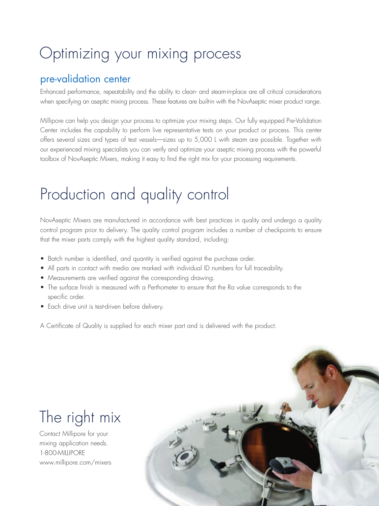### Optimizing your mixing process

#### pre-validation center

Enhanced performance, repeatability and the ability to clean- and steam-in-place are all critical considerations when specifying an aseptic mixing process. These features are built-in with the NovAseptic mixer product range.

Millipore can help you design your process to optimize your mixing steps. Our fully equipped Pre-Validation Center includes the capability to perform live representative tests on your product or process. This center offers several sizes and types of test vessels—sizes up to 5,000 L with steam are possible. Together with our experienced mixing specialists you can verify and optimize your aseptic mixing process with the powerful toolbox of NovAseptic Mixers, making it easy to find the right mix for your processing requirements.

### Production and quality control

NovAseptic Mixers are manufactured in accordance with best practices in quality and undergo a quality control program prior to delivery. The quality control program includes a number of checkpoints to ensure that the mixer parts comply with the highest quality standard, including:

- Batch number is identified, and quantity is verified against the purchase order.
- All parts in contact with media are marked with individual ID numbers for full traceability.
- Measurements are verified against the corresponding drawing.
- The surface finish is measured with a Perthometer to ensure that the Ra value corresponds to the specific order.
- Each drive unit is test-driven before delivery.

A Certificate of Quality is supplied for each mixer part and is delivered with the product.

### The right mix

Contact Millipore for your mixing application needs. 1-800-MILLIPORE www.millipore.com/mixers